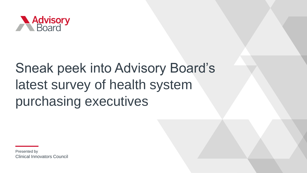

# Sneak peek into Advisory Board's latest survey of health system purchasing executives

Presented by Clinical Innovators Council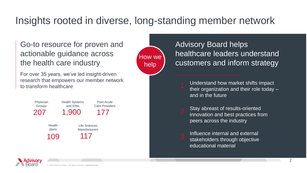## Insights rooted in diverse, long-standing member network

### Go-to resource for proven and actionable guidance across the health care industry

For over 35 years, we've led insight-driven research that empowers our member network to transform healthcare





### Advisory Board helps healthcare leaders understand customers and inform strategy

Understand how market shifts impact their organization and their role today – and in the future

Stay abreast of results-oriented innovation and best practices from peers across the industry

Influence internal and external stakeholders through objective educational material

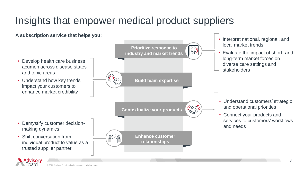## Insights that empower medical product suppliers

**A subscription service that helps you:**

- Develop health care business acumen across disease states and topic areas
- Understand how key trends impact your customers to enhance market credibility

• Demystify customer decision-

individual product to value as a

making dynamics

• Shift conversation from

trusted supplier partner



. Advisorv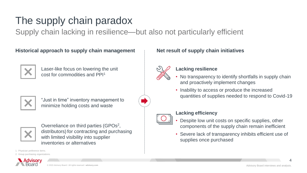### The supply chain paradox

Supply chain lacking in resilience—but also not particularly efficient

**Historical approach to supply chain management Net result of supply chain initiatives** 



Laser-like focus on lowering the unit cost for commodities and PPI<sup>1</sup>



"Just in time" inventory management to minimize holding costs and waste



Overreliance on third parties (GPOs<sup>2</sup>, distributors) for contracting and purchasing with limited visibility into supplier inventories or alternatives

1. Physician preference items.

2. Group purchasing organizations.





### **Lacking resilience**

- No transparency to identify shortfalls in supply chain and proactively implement changes
- Inability to access or produce the increased quantities of supplies needed to respond to Covid-19



### **Lacking efficiency**

- Despite low unit costs on specific supplies, other components of the supply chain remain inefficient
- Severe lack of transparency inhibits efficient use of supplies once purchased



4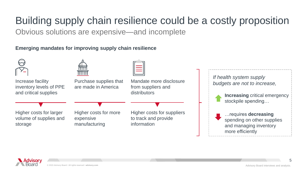Obvious solutions are expensive—and incomplete Building supply chain resilience could be a costly proposition

**Emerging mandates for improving supply chain resilience** 





5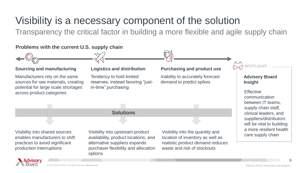## Visibility is a necessary component of the solution

Transparency the critical factor in building a more flexible and agile supply chain

### **Problems with the current U.S. supply chain**

#### **Sourcing and manufacturing**

Manufacturers rely on the same sources for raw materials, creating potential for large scale shortages across product categories

Tendency to hold limited reserves, instead favoring "justin-time" purchasing

#### **Logistics and distribution Purchasing and product use**

Inability to accurately forecast demand to predict spikes

SPOTLIGHT

#### **Advisory Board Insight**

**Effective** communication between IT teams, supply chain staff, clinical leaders, and suppliers/distributors will be vital to building a more resilient health care supply chain

**Solutions**

Visibility into shared sources enables manufacturers to shift practices to avoid significant production interruptions



Visibility into upstream product availability, product locations, and alternative suppliers expands purchaser flexibility and allocation options

Visibility into the quantity and location of inventory as well as realistic product demand reduces waste and risk of stockouts

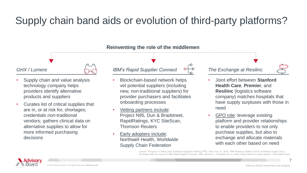# Supply chain band aids or evolution of third-party platforms?

#### *GHX / Lumere*

- Supply chain and value analysis technology company helps providers identify alternative products and suppliers
- Curates list of critical supplies that are in, or at risk for, shortages; credentials non-traditional vendors; gathers clinical data on alternative supplies to allow for more informed purchasing decisions



### • Blockchain-based network helps vet potential suppliers (including new, non-traditional suppliers) for provider purchasers and facilitates onboarding processes

*IBM's Rapid Supplier Connect* 

- Vetting partners include: Project N95, Dun & Bradstreet, RapidRatings, KYC SiteScan, Thomson Reuters
- Early adopters include: Northwell Health, Worldwide Supply Chain Federation

#### *The Exchange at Resilinc*

- Joint effort between **Stanford Health Care**, **Premier**, and **Resilinc** (logistics software company) matches hospitals that have supply surpluses with those in need
- GPO role: leverage existing platform and provider relationships to enable providers to not only purchase supplies, but also to exchange and allocate materials with each other based on need

Source: "Progress in Vetting Non-Traditional Suppliers Offering PPE," GHX, Apr. 23, 2020; "IBM Helping to Battle COVID-19 Medical Supply Chain Shortages with the Launch of IBM Rapid Supplier Connect." IBM: Johnson L, "Hospitals turn to online matchmakers to swap supplies,



7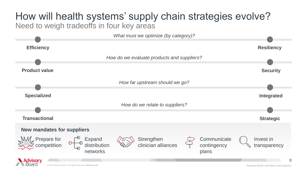# How will health systems' supply chain strategies evolve?

Need to weigh tradeoffs in four key areas

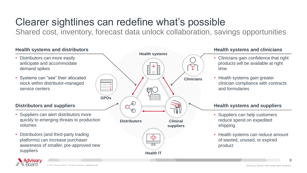# Clearer sightlines can redefine what's possible

Shared cost, inventory, forecast data unlock collaboration, savings opportunities

### **Health systems and distributors**

- Distributors can more easily anticipate and accommodate demand spikes
- Systems can "see" their allocated stock within distributor-managed service centers

### **Distributors and suppliers**

- Suppliers can alert distributors more quickly to emerging threats to production volumes
- Distributors (and third-party trading platforms) can increase purchaser awareness of smaller, pre-approved new suppliers



### **Health systems and clinicians**

- Clinicians gain confidence that right products will be available at right time
- Health systems gain greater clinician compliance with contracts and formularies

### **Health systems and suppliers**

- Suppliers can help customers reduce spend on expedited shipping
- Health systems can reduce amount of wasted, unused, or expired product

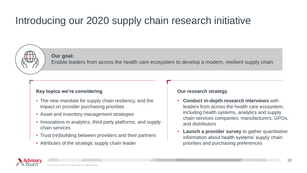## Introducing our 2020 supply chain research initiative



**Our goal:** 

Enable leaders from across the health care ecosystem to develop a modern, resilient supply chain

### **Key topics we're considering**

- The new mandate for supply chain resiliency, and the impact on provider purchasing priorities
- Asset and inventory management strategies
- Innovations in analytics, third party platforms, and supply chain services
- Trust (re)building between providers and their partners
- Attributes of the strategic supply chain leader

#### **Our research strategy**

- **Conduct in-depth research interviews** with leaders from across the health care ecosystem, including health systems, analytics and supply chain services companies, manufacturers, GPOs, and distributors
- **Launch a provider survey** to gather quantitative information about health systems' supply chain priorities and purchasing preferences

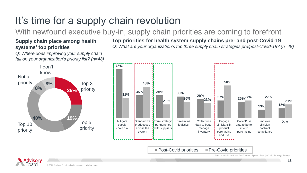# It's time for a supply chain revolution

With newfound executive buy-in, supply chain priorities are coming to forefront

### **Supply chain place among health systems' top priorities**

*Q: Where does improving your supply chain fall on your organization's priority list? (n=48)*



**Top priorities for health system supply chains pre- and post-Covid-19** *Q: What are your organization's top three supply chain strategies pre/post-Covid-19? (n=48)*





Source: Advisory Board 2020 Health System Supply Chain Strategy Survey.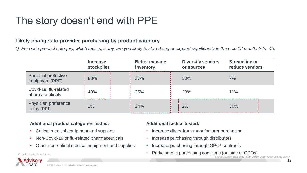### The story doesn't end with PPE

### **Likely changes to provider purchasing by product category**

*Q: For each product category, which tactics, if any, are you likely to start doing or expand significantly in the next 12 months? (n=45)*

|                                               | <b>Increase</b><br><b>stockpiles</b> | <b>Better manage</b><br>inventory | <b>Diversify vendors</b><br>or sources | <b>Streamline or</b><br>reduce vendors |
|-----------------------------------------------|--------------------------------------|-----------------------------------|----------------------------------------|----------------------------------------|
| <b>Personal protective</b><br>equipment (PPE) | 83%                                  | 37%                               | 50%                                    | 7%                                     |
| Covid-19, flu-related<br>pharmaceuticals      | 48%                                  | 35%                               | 28%                                    | 11%                                    |
| Physician preference<br>items (PPI)           | 2%                                   | 24%                               | 2%                                     | 39%                                    |

#### **Additional product categories tested:**

- Critical medical equipment and supplies
- Non-Covid-19 or flu-related pharmaceuticals
- Other non-critical medical equipment and supplies



### **Additional tactics tested:**

- Increase direct-from-manufacturer purchasing
- Increase purchasing through distributors
- Increase purchasing through GPO<sup>1</sup> contracts
- 1. Group Purchasing Organization. **Example 2008 •** Participate in purchasing coalitions (outside of GPOs)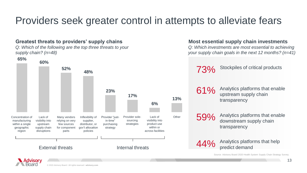### Providers seek greater control in attempts to alleviate fears

### **Greatest threats to providers' supply chains Most essential supply chain investments**

*Q: Which of the following are the top three threats to your supply chain? (n=48)*





*Q: Which investments are most essential to achieving your supply chain goals in the next 12 months? (n=41)*

73% Stockpiles of critical products

61% Analytics platforms that enable upstream supply chain transparency

59% Analytics platforms that enable downstream supply chain transparency

Analytics platforms that help predict demand

Source: Advisory Board 2020 Health System Supply Chain Strategy Survey.

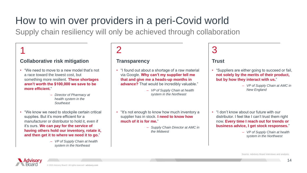# How to win over providers in a peri-Covid world

Supply chain resiliency will only be achieved through collaboration

### 1

### **Collaborative risk mitigation**

- "We need to move to a new model that's not a race toward the lowest cost, but something more resilient. **These shortages aren't worth the \$100,000 we save to be more efficient.**"
	- *Director of Pharmacy at health system in the Southeast*
- "We know we need to stockpile certain critical supplies. But it's more efficient for a manufacturer or distributor to hold it, even if it's ours. **We can pay for the service of having others hold our inventory, rotate it, and then get it to where we need it to go.**"
	- *VP of Supply Chain at health system in the Northeast*

### $\overline{\mathcal{L}}$

#### **Transparency**

- "I found out about a shortage of a raw material via Google. **Why can't my supplier tell me that and give me a heads-up months in advance?** That would be incredibly valuable."
	- *VP of Supply Chain at health system in the Northeast*
- "It's not enough to know how much inventory a supplier has in stock. **I need to know how much of it is for me.**"
	- *Supply Chain Director at AMC in the Midwest*

### 3

#### **Trust**

- "Suppliers are either going to succeed or fail, **not solely by the merits of their product, but by how they interact with us.**"
	- *VP of Supply Chain at AMC in New England*

- "I don't know about our future with our distributor. I feel like I can't trust them right now. **Every time I reach out for trends or business advice, I get stock responses.**"
	- *VP of Supply Chain at health system in the Northwest*

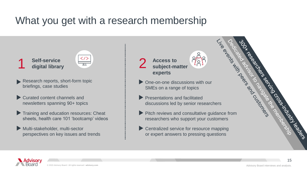### What you get with a research membership

**Self-service digital library** 1 Self-service  $\frac{\langle 7 \rangle}{\sqrt{1}}$  2



- Research reports, short-form topic briefings, case studies
- Curated content channels and newsletters spanning 90+ topics
- Training and education resources: Cheat sheets, health care 101 'bootcamp' videos
- Multi-stakeholder, multi-sector perspectives on key issues and trends

**Access to subject-matter experts**

- One-on-one discussions with our SMEs on a range of topics
- **Presentations and facilitated** discussions led by senior researchers
- **PHOTE STREET SURFACES TO SUBJECT-matter**<br> **Experts**<br> **Pitch reviews and facilitated<br>
Pitch reviews and consultative guidance from<br>
Pitch reviews and consultative guidance from<br>
researchers who sumport your customers** researchers who support your customers
- Centralized service for resource mapping or expert answers to pressing questions



r reserved

15

Seed the Cross Market Residents